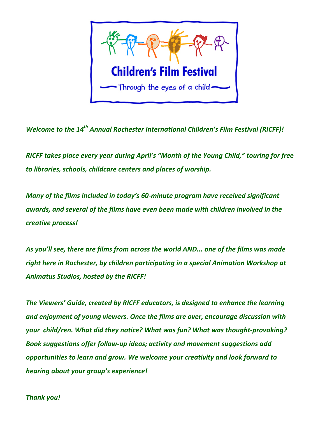

*Welcome to the 14<sup>th</sup> Annual Rochester International Children's Film Festival (RICFF)!* 

*RICFF* takes place every year during April's "Month of the Young Child," touring for free to libraries, schools, childcare centers and places of worship.

*Many* of the films included in today's 60-minute program have received significant awards, and several of the films have even been made with children involved in the *creative process!* 

As you'll see, there are films from across the world *AND...* one of the films was made right here in Rochester, by children participating in a special Animation Workshop at Animatus Studios, hosted by the RICFF!

The Viewers' Guide, created by RICFF educators, is designed to enhance the learning and enjoyment of young viewers. Once the films are over, encourage discussion with your child/ren. What did they notice? What was fun? What was thought-provoking? **Book suggestions offer follow-up ideas; activity and movement suggestions add** opportunities to learn and grow. We welcome your creativity and look forward to *hearing about your group's experience!* 

*Thank you!*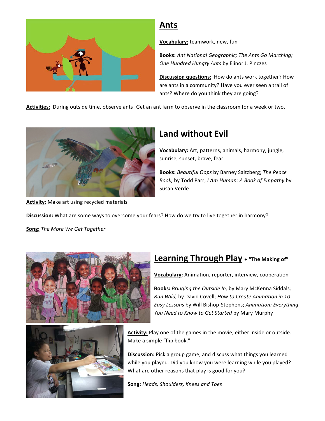

## **Ants**

**Vocabulary:** teamwork, new, fun

**Books:** *Ant National Geographic; The Ants Go Marching; One Hundred Hungry Ants* by Elinor J. Pinczes

**Discussion questions:** How do ants work together? How are ants in a community? Have you ever seen a trail of ants? Where do you think they are going?

Activities: During outside time, observe ants! Get an ant farm to observe in the classroom for a week or two.



Activity: Make art using recycled materials

## **Land without Evil**

**Vocabulary:** Art, patterns, animals, harmony, jungle, sunrise, sunset, brave, fear

**Books:** *Beautiful Oops* by Barney Saltzberg; *The Peace Book,* by Todd Parr; *I Am Human: A Book of Empathy* by Susan Verde

**Discussion:** What are some ways to overcome your fears? How do we try to live together in harmony?

**Song:** The More We Get Together





#### **Learning Through Play** + "The Making of"

**Vocabulary:** Animation, reporter, interview, cooperation

**Books:** *Bringing the Outside In, by Mary McKenna Siddals; Run Wild, by David Covell; How to Create Animation in 10 Easy Lessons* by Will Bishop-Stephens; *Animation: Everything* You Need to Know to Get Started by Mary Murphy

Activity: Play one of the games in the movie, either inside or outside. Make a simple "flip book."

**Discussion:** Pick a group game, and discuss what things you learned while you played. Did you know you were learning while you played? What are other reasons that play is good for you?

**Song:** *Heads, Shoulders, Knees and Toes*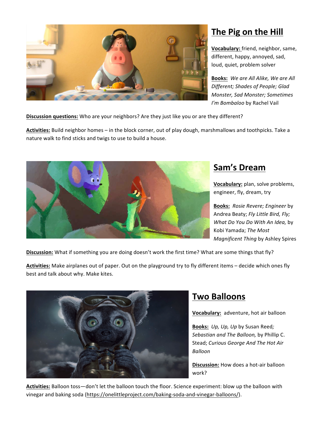

## **The Pig on the Hill**

**Vocabulary:** friend, neighbor, same, different, happy, annoyed, sad, loud, quiet, problem solver

**Books:** We are All Alike, We are All **Different; Shades of People; Glad** *Monster, Sad Monster; Sometimes I'm Bombaloo* by Rachel Vail

**Discussion questions:** Who are your neighbors? Are they just like you or are they different?

Activities: Build neighbor homes - in the block corner, out of play dough, marshmallows and toothpicks. Take a nature walk to find sticks and twigs to use to build a house.



### **Sam's Dream**

**Vocabulary:** plan, solve problems, engineer, fly, dream, try

**Books:** Rosie Revere; Engineer by Andrea Beaty; *Fly Little Bird, Fly; What Do You Do With An Idea, by* Kobi Yamada; *The Most Magnificent Thing by Ashley Spires* 

**Discussion:** What if something you are doing doesn't work the first time? What are some things that fly?

Activities: Make airplanes out of paper. Out on the playground try to fly different items – decide which ones fly best and talk about why. Make kites.



## **Two Balloons**

**Vocabulary:** adventure, hot air balloon

Books: *Up, Up, Up* by Susan Reed; *Sebastian and The Balloon, by Phillip C.* Stead; Curious George And The Hot Air *Balloon*

**Discussion:** How does a hot-air balloon work? 

Activities: Balloon toss-don't let the balloon touch the floor. Science experiment: blow up the balloon with vinegar and baking soda (https://onelittleproject.com/baking-soda-and-vinegar-balloons/).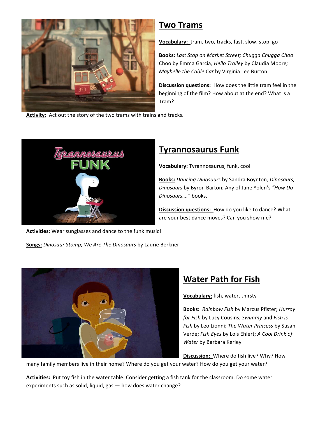

### **Two Trams**

**Vocabulary:** tram, two, tracks, fast, slow, stop, go

Books: Last Stop on Market Street; Chugga Chugga Choo Choo by Emma Garcia*; Hello Trolley* by Claudia Moore*; Maybelle the Cable Car by Virginia Lee Burton* 

**Discussion questions:** How does the little tram feel in the beginning of the film? How about at the end? What is a Tram?

Activity: Act out the story of the two trams with trains and tracks.



### **Tyrannosaurus Funk**

**Vocabulary:** Tyrannosaurus, funk, cool

**Books:** *Dancing Dinosaurs* by Sandra Boynton*; Dinosaurs, Dinosaurs* by Byron Barton; Any of Jane Yolen's *"How Do Dinosaurs…."* books.

**Discussion questions:** How do you like to dance? What are your best dance moves? Can you show me?

Activities: Wear sunglasses and dance to the funk music!

Songs: Dinosaur Stomp; We Are The Dinosaurs by Laurie Berkner



# **Water Path for Fish**

**Vocabulary:** fish, water, thirsty

Books: Rainbow Fish by Marcus Pfister; *Hurray for Fish by Lucy Cousins; Swimmy and Fish is* Fish by Leo Lionni; The Water Princess by Susan Verde; Fish Eyes by Lois Ehlert; A Cool Drink of **Water** by Barbara Kerley

**Discussion:** Where do fish live? Why? How

many family members live in their home? Where do you get your water? How do you get your water?

Activities: Put toy fish in the water table. Consider getting a fish tank for the classroom. Do some water experiments such as solid, liquid,  $gas - how$  does water change?